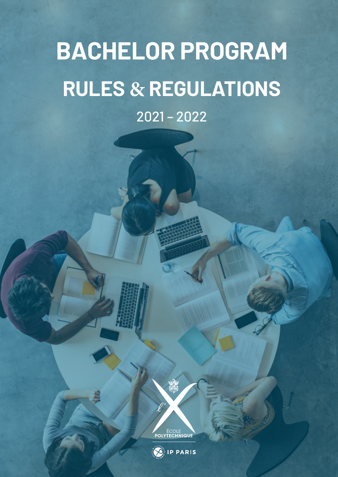# **BACHELOR PROGRAM RULES & REGULATIONS**

2021 – 2022



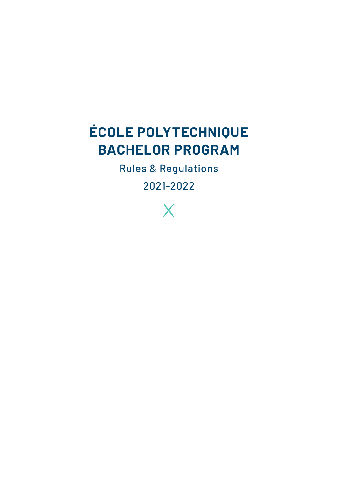### **ÉCOLE POLYTECHNIQUE BACHELOR PROGRAM**

Rules & Regulations

2021-2022

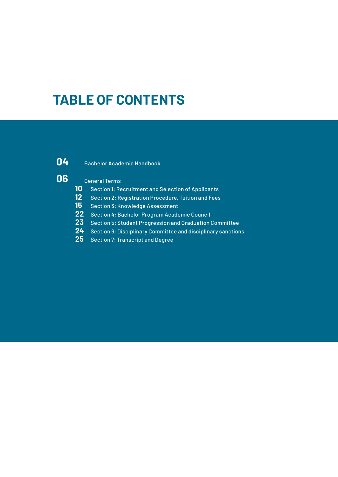### **TABLE OF CONTENTS**



#### Bachelor Academic Handbook

#### General Terms

- **10** Section 1: Recruitment and Selection of Applicants<br>**12** Section 2: Registration Procedure, Tuition and Fees
- Section 2: Registration Procedure, Tuition and Fees
- Section 3: Knowledge Assessment
- Section 4: Bachelor Program Academic Council
- Section 5: Student Progression and Graduation Committee
- Section 6: Disciplinary Committee and disciplinary sanctions
- Section 7: Transcript and Degree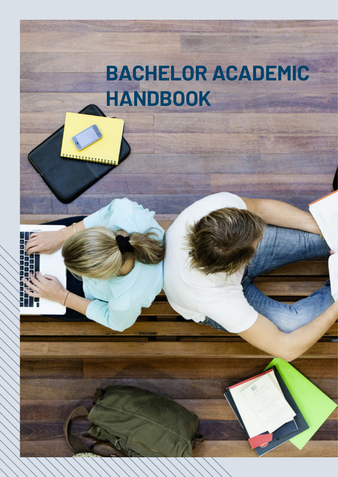## **BACHELOR ACADEMIC HANDBOOK**



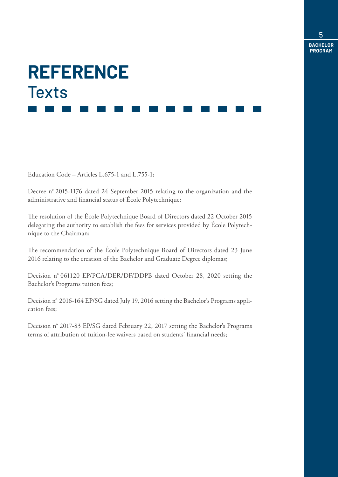# **REFERENCE Texts**

Education Code – Articles L.675-1 and L.755-1;

Decree n° 2015-1176 dated 24 September 2015 relating to the organization and the administrative and financial status of École Polytechnique;

The resolution of the École Polytechnique Board of Directors dated 22 October 2015 delegating the authority to establish the fees for services provided by École Polytechnique to the Chairman;

The recommendation of the École Polytechnique Board of Directors dated 23 June 2016 relating to the creation of the Bachelor and Graduate Degree diplomas;

Decision n° 061120 EP/PCA/DER/DF/DDPB dated October 28, 2020 setting the Bachelor's Programs tuition fees;

Decision n° 2016-164 EP/SG dated July 19, 2016 setting the Bachelor's Programs application fees;

Decision n° 2017-83 EP/SG dated February 22, 2017 setting the Bachelor's Programs terms of attribution of tuition-fee waivers based on students' financial needs;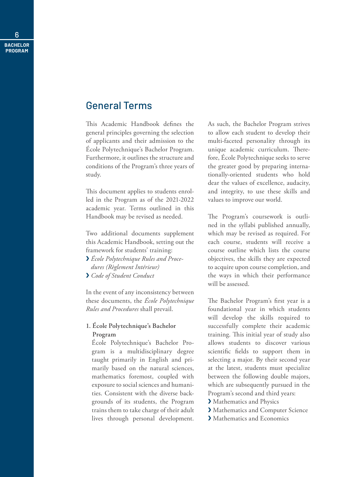#### General Terms

This Academic Handbook defines the general principles governing the selection of applicants and their admission to the École Polytechnique's Bachelor Program. Furthermore, it outlines the structure and conditions of the Program's three years of study.

This document applies to students enrolled in the Program as of the 2021-2022 academic year. Terms outlined in this Handbook may be revised as needed.

Two additional documents supplement this Academic Handbook, setting out the framework for students' training:

- ❯ *École Polytechnique Rules and Procedures (Règlement Intérieur)*
- ❯ *Code of Student Conduct*

In the event of any inconsistency between these documents, the *École Polytechnique Rules and Procedures* shall prevail.

#### **1. École Polytechnique's Bachelor Program**

École Polytechnique's Bachelor Program is a multidisciplinary degree taught primarily in English and primarily based on the natural sciences, mathematics foremost, coupled with exposure to social sciences and humanities. Consistent with the diverse backgrounds of its students, the Program trains them to take charge of their adult lives through personal development.

As such, the Bachelor Program strives to allow each student to develop their multi-faceted personality through its unique academic curriculum. Therefore, École Polytechnique seeks to serve the greater good by preparing internationally-oriented students who hold dear the values of excellence, audacity, and integrity, to use these skills and values to improve our world.

The Program's coursework is outlined in the syllabi published annually, which may be revised as required. For each course, students will receive a course outline which lists the course objectives, the skills they are expected to acquire upon course completion, and the ways in which their performance will be assessed.

The Bachelor Program's first year is a foundational year in which students will develop the skills required to successfully complete their academic training. This initial year of study also allows students to discover various scientific fields to support them in selecting a major. By their second year at the latest, students must specialize between the following double majors, which are subsequently pursued in the Program's second and third years:

- > Mathematics and Physics
- ❯ Mathematics and Computer Science
- > Mathematics and Economics

6 **BACHELOR PROGRAM**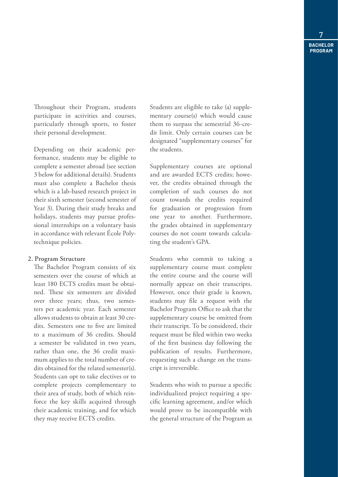Throughout their Program, students participate in activities and courses, particularly through sports, to foster their personal development.

Depending on their academic performance, students may be eligible to complete a semester abroad (see section 3 below for additional details). Students must also complete a Bachelor thesis which is a lab-based research project in their sixth semester (second semester of Year 3). During their study breaks and holidays, students may pursue professional internships on a voluntary basis in accordance with relevant École Polytechnique policies.

#### **2. Program Structure**

The Bachelor Program consists of six semesters over the course of which at least 180 ECTS credits must be obtained. These six semesters are divided over three years; thus, two semesters per academic year. Each semester allows students to obtain at least 30 credits. Semesters one to five are limited to a maximum of 36 credits. Should a semester be validated in two years, rather than one, the 36 credit maximum applies to the total number of credits obtained for the related semester(s). Students can opt to take electives or to complete projects complementary to their area of study, both of which reinforce the key skills acquired through their academic training, and for which they may receive ECTS credits.

Students are eligible to take (a) supplementary course(s) which would cause them to surpass the semestrial 36-credit limit. Only certain courses can be designated "supplementary courses" for the students.

Supplementary courses are optional and are awarded ECTS credits; however, the credits obtained through the completion of such courses do not count towards the credits required for graduation or progression from one year to another. Furthermore, the grades obtained in supplementary courses do not count towards calculating the student's GPA.

Students who commit to taking a supplementary course must complete the entire course and the course will normally appear on their transcripts. However, once their grade is known, students may file a request with the Bachelor Program Office to ask that the supplementary course be omitted from their transcript. To be considered, their request must be filed within two weeks of the first business day following the publication of results. Furthermore, requesting such a change on the transcript is irreversible.

Students who wish to pursue a specific individualized project requiring a specific learning agreement, and/or which would prove to be incompatible with the general structure of the Program as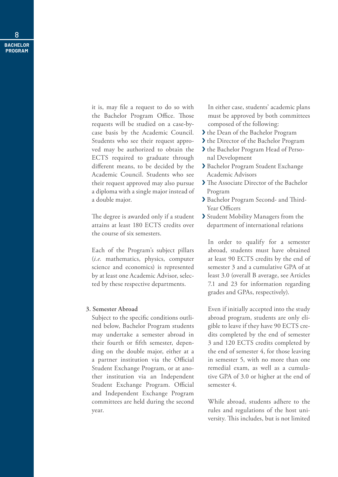it is, may file a request to do so with the Bachelor Program Office. Those requests will be studied on a case-bycase basis by the Academic Council. Students who see their request approved may be authorized to obtain the ECTS required to graduate through different means, to be decided by the Academic Council. Students who see their request approved may also pursue a diploma with a single major instead of a double major.

The degree is awarded only if a student attains at least 180 ECTS credits over the course of six semesters.

Each of the Program's subject pillars (*i.e.* mathematics, physics, computer science and economics) is represented by at least one Academic Advisor, selected by these respective departments.

#### **3. Semester Abroad**

Subject to the specific conditions outlined below, Bachelor Program students may undertake a semester abroad in their fourth or fifth semester, depending on the double major, either at a a partner institution via the Official Student Exchange Program, or at another institution via an Independent Student Exchange Program. Official and Independent Exchange Program committees are held during the second year.

In either case, students' academic plans must be approved by both committees composed of the following:

- ❯ the Dean of the Bachelor Program
- ❯ the Director of the Bachelor Program
- ❯ the Bachelor Program Head of Personal Development
- ❯ Bachelor Program Student Exchange Academic Advisors
- ❯ The Associate Director of the Bachelor Program
- ❯ Bachelor Program Second- and Third-Year Officers
- ❯ Student Mobility Managers from the department of international relations

In order to qualify for a semester abroad, students must have obtained at least 90 ECTS credits by the end of semester 3 and a cumulative GPA of at least 3.0 (overall B average, see Articles 7.1 and 23 for information regarding grades and GPAs, respectively).

Even if initially accepted into the study abroad program, students are only eligible to leave if they have 90 ECTS credits completed by the end of semester 3 and 120 ECTS credits completed by the end of semester 4, for those leaving in semester 5, with no more than one remedial exam, as well as a cumulative GPA of 3.0 or higher at the end of semester 4.

While abroad, students adhere to the rules and regulations of the host university. This includes, but is not limited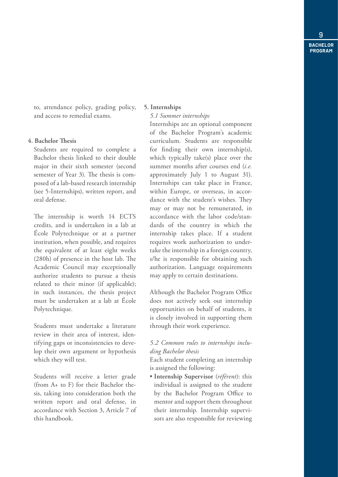to, attendance policy, grading policy, and access to remedial exams.

#### **4. Bachelor Thesis**

Students are required to complete a Bachelor thesis linked to their double major in their sixth semester (second semester of Year 3). The thesis is composed of a lab-based research internship (see 5-Internships), written report, and oral defense.

The internship is worth 14 ECTS credits, and is undertaken in a lab at École Polytechnique or at a partner institution, when possible, and requires the equivalent of at least eight weeks (280h) of presence in the host lab. The Academic Council may exceptionally authorize students to pursue a thesis related to their minor (if applicable); in such instances, the thesis project must be undertaken at a lab at École Polytechnique.

Students must undertake a literature review in their area of interest, identifying gaps or inconsistencies to develop their own argument or hypothesis which they will test.

Students will receive a letter grade (from A+ to F) for their Bachelor thesis, taking into consideration both the written report and oral defense, in accordance with Section 3, Article 7 of this handbook.

#### **5. Internships**

#### *5.1 Summer internships*

Internships are an optional component of the Bachelor Program's academic curriculum. Students are responsible for finding their own internship(s), which typically take(s) place over the summer months after courses end (*i.e.* approximately July 1 to August 31). Internships can take place in France, within Europe, or overseas, in accordance with the student's wishes. They may or may not be remunerated, in accordance with the labor code/standards of the country in which the internship takes place. If a student requires work authorization to undertake the internship in a foreign country, s/he is responsible for obtaining such authorization. Language requirements may apply to certain destinations.

Although the Bachelor Program Office does not actively seek out internship opportunities on behalf of students, it is closely involved in supporting them through their work experience.

#### *5.2 Common rules to internships including Bachelor thesis*

Each student completing an internship is assigned the following:

• **Internship Supervisor** (*référent*): this individual is assigned to the student by the Bachelor Program Office to mentor and support them throughout their internship. Internship supervisors are also responsible for reviewing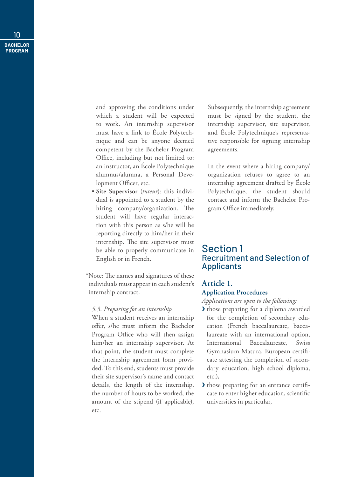> and approving the conditions under which a student will be expected to work. An internship supervisor must have a link to École Polytechnique and can be anyone deemed competent by the Bachelor Program Office, including but not limited to: an instructor, an École Polytechnique alumnus/alumna, a Personal Development Officer, etc.

• **Site Supervisor** (*tuteur*): this individual is appointed to a student by the hiring company/organization. The student will have regular interaction with this person as s/he will be reporting directly to him/her in their internship. The site supervisor must be able to properly communicate in English or in French.

\*Note: The names and signatures of these individuals must appear in each student's internship contract.

#### *5.3. Preparing for an internship*

When a student receives an internship offer, s/he must inform the Bachelor Program Office who will then assign him/her an internship supervisor. At that point, the student must complete the internship agreement form provided. To this end, students must provide their site supervisor's name and contact details, the length of the internship, the number of hours to be worked, the amount of the stipend (if applicable), etc.

Subsequently, the internship agreement must be signed by the student, the internship supervisor, site supervisor, and École Polytechnique's representative responsible for signing internship agreements.

In the event where a hiring company/ organization refuses to agree to an internship agreement drafted by École Polytechnique, the student should contact and inform the Bachelor Program Office immediately.

#### Section 1 Recruitment and Selection of Applicants

#### **Article 1.**

#### **Application Procedures**

*Applications are open to the following:*

- ❯ those preparing for a diploma awarded for the completion of secondary education (French baccalaureate, baccalaureate with an international option, International Baccalaureate, Swiss Gymnasium Matura, European certificate attesting the completion of secondary education, high school diploma, etc.),
- ❯ those preparing for an entrance certificate to enter higher education, scientific universities in particular,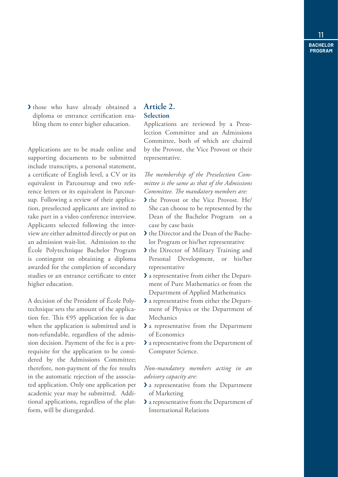> those who have already obtained a diploma or entrance certification enabling them to enter higher education.

Applications are to be made online and supporting documents to be submitted include transcripts, a personal statement, a certificate of English level, a CV or its equivalent in Parcoursup and two reference letters or its equivalent in Parcoursup. Following a review of their application, preselected applicants are invited to take part in a video conference interview. Applicants selected following the interview are either admitted directly or put on an admission wait-list. Admission to the École Polytechnique Bachelor Program is contingent on obtaining a diploma awarded for the completion of secondary studies or an entrance certificate to enter higher education.

A decision of the President of École Polytechnique sets the amount of the application fee. This €95 application fee is due when the application is submitted and is non-refundable, regardless of the admission decision. Payment of the fee is a prerequisite for the application to be considered by the Admissions Committee; therefore, non-payment of the fee results in the automatic rejection of the associated application. Only one application per academic year may be submitted. Additional applications, regardless of the platform, will be disregarded.

#### **Article 2. Selection**

Applications are reviewed by a Preselection Committee and an Admissions Committee, both of which are chaired by the Provost, the Vice Provost or their representative.

*The membership of the Preselection Committee is the same as that of the Admissions Committee. The mandatory members are:*

- ❯ the Provost or the Vice Provost. He/ She can choose to be represented by the Dean of the Bachelor Program on a case by case basis
- ❯ the Director and the Dean of the Bachelor Program or his/her representative
- If the Director of Military Training and<br>Personal Development, or his/her Personal Development, or representative
- ❯ a representative from either the Department of Pure Mathematics or from the Department of Applied Mathematics
- ❯ a representative from either the Department of Physics or the Department of Mechanics
- ❯ a representative from the Department of Economics
- ❯ a representative from the Department of Computer Science.

*Non-mandatory members acting in an advisory capacity are:*

- ❯ a representative from the Department of Marketing
- ❯ a representative from the Department of International Relations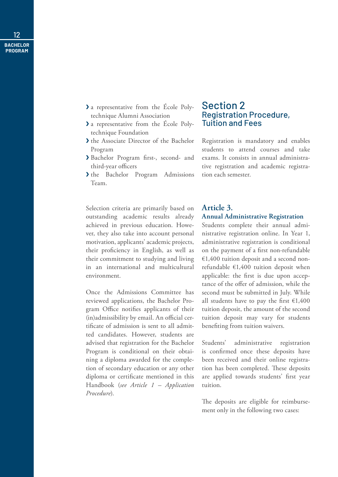- ❯ a representative from the École Polytechnique Alumni Association
- ❯ a representative from the École Polytechnique Foundation
- ❯ the Associate Director of the Bachelor Program
- ❯ Bachelor Program first-, second- and third-year officers
- > the Bachelor Program Admissions Team.

Selection criteria are primarily based on outstanding academic results already achieved in previous education. However, they also take into account personal motivation, applicants' academic projects, their proficiency in English, as well as their commitment to studying and living in an international and multicultural environment.

Once the Admissions Committee has reviewed applications, the Bachelor Program Office notifies applicants of their (in)admissibility by email. An official certificate of admission is sent to all admitted candidates. However, students are advised that registration for the Bachelor Program is conditional on their obtaining a diploma awarded for the completion of secondary education or any other diploma or certificate mentioned in this Handbook (*see Article 1 – Application Procedure*).

#### Section 2 Registration Procedure, Tuition and Fees

Registration is mandatory and enables students to attend courses and take exams. It consists in annual administrative registration and academic registration each semester.

#### **Article 3. Annual Administrative Registration**

Students complete their annual administrative registration online. In Year 1, administrative registration is conditional on the payment of a first non-refundable €1,400 tuition deposit and a second nonrefundable €1,400 tuition deposit when applicable: the first is due upon acceptance of the offer of admission, while the second must be submitted in July. While all students have to pay the first  $\epsilon$ 1,400 tuition deposit, the amount of the second tuition deposit may vary for students benefiting from tuition waivers.

Students' administrative registration is confirmed once these deposits have been received and their online registration has been completed. These deposits are applied towards students' first year tuition.

The deposits are eligible for reimbursement only in the following two cases: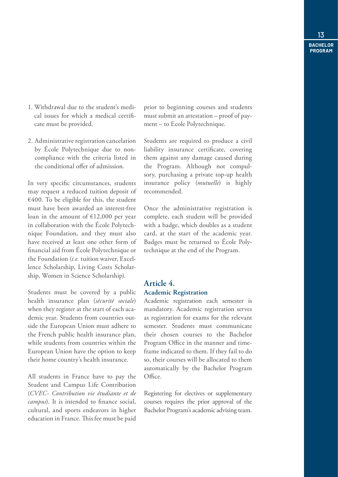- 1. Withdrawal due to the student's medical issues for which a medical certificate must be provided.
- 2. Administrative registration cancelation by École Polytechnique due to noncompliance with the criteria listed in the conditional offer of admission.

In very specific circumstances, students may request a reduced tuition deposit of  $€400$ . To be eligible for this, the student must have been awarded an interest-free loan in the amount of €12,000 per year in collaboration with the École Polytechnique Foundation, and they must also have received at least one other form of financial aid from École Polytechnique or the Foundation (*i.e.* tuition waiver, Excellence Scholarship, Living Costs Scholarship, Women in Science Scholarship).

Students must be covered by a public health insurance plan (*sécurité sociale*) when they register at the start of each academic year. Students from countries outside the European Union must adhere to the French public health insurance plan, while students from countries within the European Union have the option to keep their home country's health insurance.

All students in France have to pay the Student and Campus Life Contribution (*CVEC- Contribution vie étudiante et de campus*). It is intended to finance social, cultural, and sports endeavors in higher education in France. This fee must be paid

prior to beginning courses and students must submit an attestation – proof of payment – to Ecole Polytechnique.

Students are required to produce a civil liability insurance certificate, covering them against any damage caused during the Program. Although not compulsory, purchasing a private top-up health insurance policy (*mutuelle*) is highly recommended.

Once the administrative registration is complete, each student will be provided with a badge, which doubles as a student card, at the start of the academic year. Badges must be returned to École Polytechnique at the end of the Program.

#### **Article 4. Academic Registration**

Academic registration each semester is mandatory. Academic registration serves as registration for exams for the relevant semester. Students must communicate their chosen courses to the Bachelor Program Office in the manner and timeframe indicated to them. If they fail to do so, their courses will be allocated to them automatically by the Bachelor Program Office.

Registering for electives or supplementary courses requires the prior approval of the Bachelor Program's academic advising team.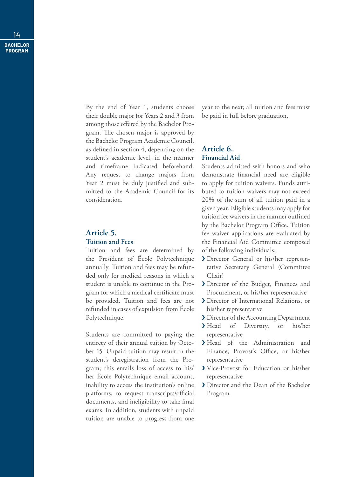By the end of Year 1, students choose their double major for Years 2 and 3 from among those offered by the Bachelor Program. The chosen major is approved by the Bachelor Program Academic Council, as defined in section 4, depending on the student's academic level, in the manner and timeframe indicated beforehand. Any request to change majors from Year 2 must be duly justified and submitted to the Academic Council for its consideration.

#### **Article 5. Tuition and Fees**

Tuition and fees are determined by the President of École Polytechnique annually. Tuition and fees may be refunded only for medical reasons in which a student is unable to continue in the Program for which a medical certificate must be provided. Tuition and fees are not refunded in cases of expulsion from École Polytechnique.

Students are committed to paying the entirety of their annual tuition by October 15. Unpaid tuition may result in the student's deregistration from the Program; this entails loss of access to his/ her École Polytechnique email account, inability to access the institution's online platforms, to request transcripts/official documents, and ineligibility to take final exams. In addition, students with unpaid tuition are unable to progress from one

year to the next; all tuition and fees must be paid in full before graduation.

#### **Article 6. Financial Aid**

Students admitted with honors and who demonstrate financial need are eligible to apply for tuition waivers. Funds attributed to tuition waivers may not exceed 20% of the sum of all tuition paid in a given year. Eligible students may apply for tuition fee waivers in the manner outlined by the Bachelor Program Office. Tuition fee waiver applications are evaluated by the Financial Aid Committee composed of the following individuals:

- ❯ Director General or his/her representative Secretary General (Committee Chair)
- ❯ Director of the Budget, Finances and Procurement, or his/her representative
- ❯ Director of International Relations, or his/her representative
- ❯ Director of the Accounting Department
- ❯ Head of Diversity, or his/her representative
- > Head of the Administration and Finance, Provost's Office, or his/her representative
- ❯ Vice-Provost for Education or his/her representative
- ❯ Director and the Dean of the Bachelor Program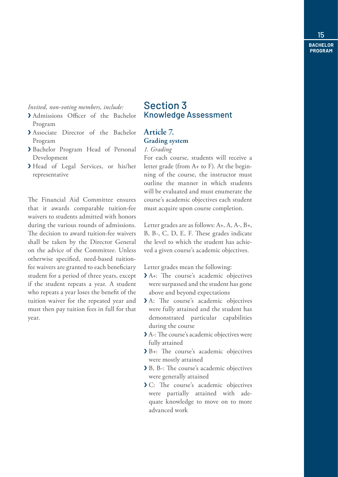#### *Invited, non-voting members, include:*

- ❯ Admissions Officer of the Bachelor Program
- ❯ Associate Director of the Bachelor Program
- ❯ Bachelor Program Head of Personal Development
- ❯ Head of Legal Services, or his/her representative

The Financial Aid Committee ensures that it awards comparable tuition-fee waivers to students admitted with honors during the various rounds of admissions. The decision to award tuition-fee waivers shall be taken by the Director General on the advice of the Committee. Unless otherwise specified, need-based tuitionfee waivers are granted to each beneficiary student for a period of three years, except if the student repeats a year. A student who repeats a year loses the benefit of the tuition waiver for the repeated year and must then pay tuition fees in full for that year.

#### Section 3 Knowledge Assessment

#### **Article 7. Grading system**

#### *1. Grading*

For each course, students will receive a letter grade (from A+ to F). At the beginning of the course, the instructor must outline the manner in which students will be evaluated and must enumerate the course's academic objectives each student must acquire upon course completion.

Letter grades are as follows: A+, A, A-, B+, B, B-, C, D, E, F. These grades indicate the level to which the student has achieved a given course's academic objectives.

Letter grades mean the following:

- ❯ A+: The course's academic objectives were surpassed and the student has gone above and beyond expectations
- A: The course's academic objectives were fully attained and the student has demonstrated particular capabilities during the course
- ❯ A-: The course's academic objectives were fully attained
- ❯ B+: The course's academic objectives were mostly attained
- ❯ B, B-: The course's academic objectives were generally attained
- ❯ C: The course's academic objectives were partially attained with adequate knowledge to move on to more advanced work

15 **BACHELOR** 

**PROGRAM**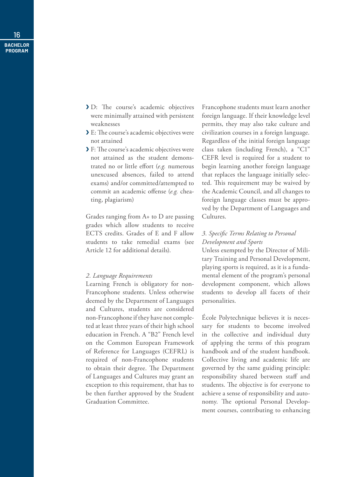- ❯ D: The course's academic objectives were minimally attained with persistent weaknesses
- ❯ E: The course's academic objectives were not attained
- ❯ F: The course's academic objectives were not attained as the student demonstrated no or little effort (*e.g.* numerous unexcused absences, failed to attend exams) and/or committed/attempted to commit an academic offense (*e.g.* cheating, plagiarism)

Grades ranging from A+ to D are passing grades which allow students to receive ECTS credits. Grades of E and F allow students to take remedial exams (see Article 12 for additional details).

#### *2. Language Requirements*

Learning French is obligatory for non-Francophone students. Unless otherwise deemed by the Department of Languages and Cultures, students are considered non-Francophone if they have not completed at least three years of their high school education in French. A "B2" French level on the Common European Framework of Reference for Languages (CEFRL) is required of non-Francophone students to obtain their degree. The Department of Languages and Cultures may grant an exception to this requirement, that has to be then further approved by the Student Graduation Committee.

Francophone students must learn another foreign language. If their knowledge level permits, they may also take culture and civilization courses in a foreign language. Regardless of the initial foreign language class taken (including French), a "C1" CEFR level is required for a student to begin learning another foreign language that replaces the language initially selected. This requirement may be waived by the Academic Council, and all changes to foreign language classes must be approved by the Department of Languages and Cultures.

#### *3. Specific Terms Relating to Personal Development and Sports*

Unless exempted by the Director of Military Training and Personal Development, playing sports is required, as it is a fundamental element of the program's personal development component, which allows students to develop all facets of their personalities.

École Polytechnique believes it is necessary for students to become involved in the collective and individual duty of applying the terms of this program handbook and of the student handbook. Collective living and academic life are governed by the same guiding principle: responsibility shared between staff and students. The objective is for everyone to achieve a sense of responsibility and autonomy. The optional Personal Development courses, contributing to enhancing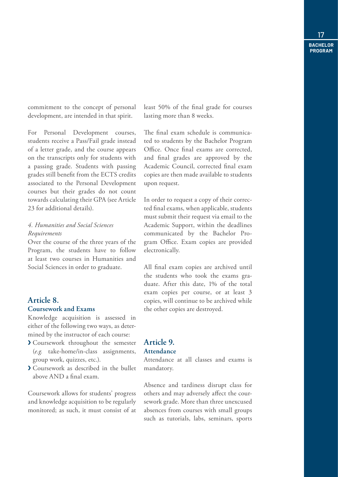commitment to the concept of personal development, are intended in that spirit.

For Personal Development courses, students receive a Pass/Fail grade instead of a letter grade, and the course appears on the transcripts only for students with a passing grade. Students with passing grades still benefit from the ECTS credits associated to the Personal Development courses but their grades do not count towards calculating their GPA (see Article 23 for additional details).

#### *4. Humanities and Social Sciences Requirements*

Over the course of the three years of the Program, the students have to follow at least two courses in Humanities and Social Sciences in order to graduate.

#### **Article 8.**

#### **Coursework and Exams**

Knowledge acquisition is assessed in either of the following two ways, as determined by the instructor of each course:

- ❯ Coursework throughout the semester (*e.g.* take-home/in-class assignments, group work, quizzes, etc.).
- ❯ Coursework as described in the bullet above AND a final exam.

Coursework allows for students' progress and knowledge acquisition to be regularly monitored; as such, it must consist of at least 50% of the final grade for courses lasting more than 8 weeks.

The final exam schedule is communicated to students by the Bachelor Program Office. Once final exams are corrected, and final grades are approved by the Academic Council, corrected final exam copies are then made available to students upon request.

In order to request a copy of their corrected final exams, when applicable, students must submit their request via email to the Academic Support, within the deadlines communicated by the Bachelor Program Office. Exam copies are provided electronically.

All final exam copies are archived until the students who took the exams graduate. After this date, 1% of the total exam copies per course, or at least 3 copies, will continue to be archived while the other copies are destroyed.

#### **Article 9. Attendance**

Attendance at all classes and exams is mandatory.

Absence and tardiness disrupt class for others and may adversely affect the coursework grade. More than three unexcused absences from courses with small groups such as tutorials, labs, seminars, sports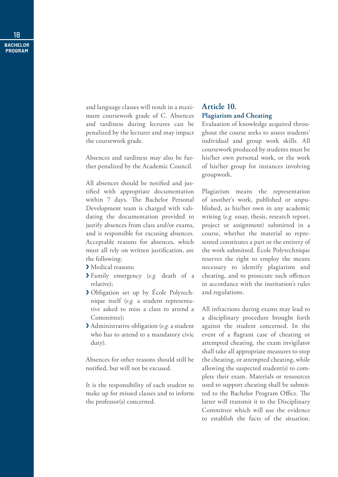and language classes will result in a maximum coursework grade of C. Absences and tardiness during lectures can be penalized by the lecturer and may impact the coursework grade.

Absences and tardiness may also be further penalized by the Academic Council.

All absences should be notified and justified with appropriate documentation within 7 days. The Bachelor Personal Development team is charged with validating the documentation provided to justify absences from class and/or exams, and is responsible for excusing absences. Acceptable reasons for absences, which must all rely on written justification, are the following:

- > Medical reasons;
- ❯ Family emergency (*e.g.* death of a relative);
- ❯ Obligation set up by École Polytechnique itself (*e.g.* a student representative asked to miss a class to attend a Committee);
- ❯ Administrative obligation (*e.g.* a student who has to attend to a mandatory civic duty).

Absences for other reasons should still be notified, but will not be excused.

It is the responsibility of each student to make up for missed classes and to inform the professor(s) concerned.

#### **Article 10. Plagiarism and Cheating**

Evaluation of knowledge acquired throughout the course seeks to assess students' individual and group work skills. All coursework produced by students must be his/her own personal work, or the work of his/her group for instances involving groupwork.

Plagiarism means the representation of another's work, published or unpublished, as his/her own in any academic writing (*e.g.* essay, thesis, research report, project or assignment) submitted in a course, whether the material so represented constitutes a part or the entirety of the work submitted. École Polytechnique reserves the right to employ the means necessary to identify plagiarism and cheating, and to prosecute such offences in accordance with the institution's rules and regulations.

All infractions during exams may lead to a disciplinary procedure brought forth against the student concerned. In the event of a flagrant case of cheating or attempted cheating, the exam invigilator shall take all appropriate measures to stop the cheating, or attempted cheating, while allowing the suspected student(s) to complete their exam. Materials or ressources used to support cheating shall be submitted to the Bachelor Program Office. The latter will transmit it to the Disciplinary Committee which will use the evidence to establish the facts of the situation.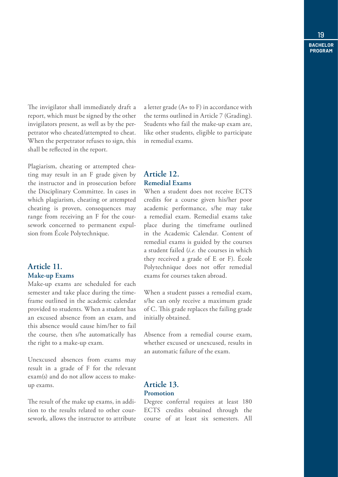The invigilator shall immediately draft a report, which must be signed by the other invigilators present, as well as by the perpetrator who cheated/attempted to cheat. When the perpetrator refuses to sign, this shall be reflected in the report.

Plagiarism, cheating or attempted cheating may result in an F grade given by the instructor and in prosecution before the Disciplinary Committee. In cases in which plagiarism, cheating or attempted cheating is proven, consequences may range from receiving an F for the coursework concerned to permanent expulsion from École Polytechnique.

#### **Article 11. Make-up Exams**

Make-up exams are scheduled for each semester and take place during the timeframe outlined in the academic calendar provided to students. When a student has an excused absence from an exam, and this absence would cause him/her to fail the course, then s/he automatically has the right to a make-up exam.

Unexcused absences from exams may result in a grade of F for the relevant exam(s) and do not allow access to makeup exams.

The result of the make up exams, in addition to the results related to other coursework, allows the instructor to attribute a letter grade (A+ to F) in accordance with the terms outlined in Article 7 (Grading). Students who fail the make-up exam are, like other students, eligible to participate in remedial exams.

#### **Article 12. Remedial Exams**

When a student does not receive ECTS credits for a course given his/her poor academic performance, s/he may take a remedial exam. Remedial exams take place during the timeframe outlined in the Academic Calendar. Content of remedial exams is guided by the courses a student failed (*i.e.* the courses in which they received a grade of E or F). École Polytechnique does not offer remedial exams for courses taken abroad.

When a student passes a remedial exam, s/he can only receive a maximum grade of C. This grade replaces the failing grade initially obtained.

Absence from a remedial course exam, whether excused or unexcused, results in an automatic failure of the exam.

#### **Article 13. Promotion**

Degree conferral requires at least 180 ECTS credits obtained through the course of at least six semesters. All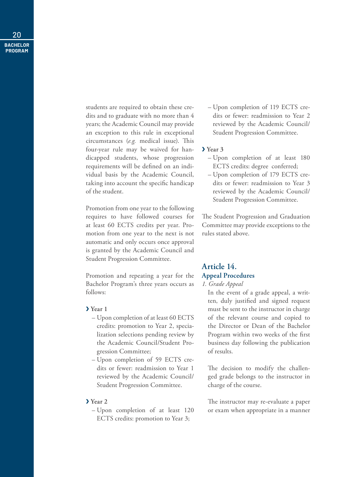students are required to obtain these credits and to graduate with no more than 4 years; the Academic Council may provide an exception to this rule in exceptional circumstances (*e.g.* medical issue). This four-year rule may be waived for handicapped students, whose progression requirements will be defined on an individual basis by the Academic Council, taking into account the specific handicap of the student.

Promotion from one year to the following requires to have followed courses for at least 60 ECTS credits per year. Promotion from one year to the next is not automatic and only occurs once approval is granted by the Academic Council and Student Progression Committee.

Promotion and repeating a year for the Bachelor Program's three years occurs as follows:

#### ❯ **Year 1**

- Upon completion of at least 60 ECTS credits: promotion to Year 2, specialization selections pending review by the Academic Council/Student Progression Committee;
- Upon completion of 59 ECTS credits or fewer: readmission to Year 1 reviewed by the Academic Council/ Student Progression Committee.

#### ❯ **Year 2**

– Upon completion of at least 120 ECTS credits: promotion to Year 3;

– Upon completion of 119 ECTS credits or fewer: readmission to Year 2 reviewed by the Academic Council/ Student Progression Committee.

#### ❯ **Year 3**

- Upon completion of at least 180 ECTS credits: degree conferred;
- Upon completion of 179 ECTS credits or fewer: readmission to Year 3 reviewed by the Academic Council/ Student Progression Committee.

The Student Progression and Graduation Committee may provide exceptions to the rules stated above.

#### **Article 14. Appeal Procedures**

#### *1. Grade Appeal*

In the event of a grade appeal, a written, duly justified and signed request must be sent to the instructor in charge of the relevant course and copied to the Director or Dean of the Bachelor Program within two weeks of the first business day following the publication of results.

The decision to modify the challenged grade belongs to the instructor in charge of the course.

The instructor may re-evaluate a paper or exam when appropriate in a manner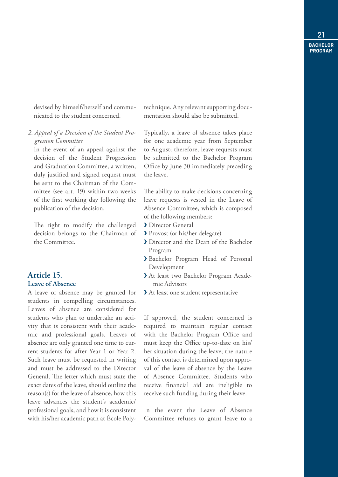devised by himself/herself and communicated to the student concerned.

*2. Appeal of a Decision of the Student Progression Committee*

In the event of an appeal against the decision of the Student Progression and Graduation Committee, a written, duly justified and signed request must be sent to the Chairman of the Committee (see art. 19) within two weeks of the first working day following the publication of the decision.

The right to modify the challenged decision belongs to the Chairman of the Committee.

#### **Article 15. Leave of Absence**

A leave of absence may be granted for students in compelling circumstances. Leaves of absence are considered for students who plan to undertake an activity that is consistent with their academic and professional goals. Leaves of absence are only granted one time to current students for after Year 1 or Year 2. Such leave must be requested in writing and must be addressed to the Director General. The letter which must state the exact dates of the leave, should outline the reason(s) for the leave of absence, how this leave advances the student's academic/ professional goals, and how it is consistent with his/her academic path at École Polytechnique. Any relevant supporting documentation should also be submitted.

Typically, a leave of absence takes place for one academic year from September to August; therefore, leave requests must be submitted to the Bachelor Program Office by June 30 immediately preceding the leave.

The ability to make decisions concerning leave requests is vested in the Leave of Absence Committee, which is composed of the following members:

- ❯ Director General
- ❯ Provost (or his/her delegate)
- ❯ Director and the Dean of the Bachelor Program
- ❯ Bachelor Program Head of Personal Development
- ❯ At least two Bachelor Program Academic Advisors
- ❯ At least one student representative

If approved, the student concerned is required to maintain regular contact with the Bachelor Program Office and must keep the Office up-to-date on his/ her situation during the leave; the nature of this contact is determined upon approval of the leave of absence by the Leave of Absence Committee. Students who receive financial aid are ineligible to receive such funding during their leave.

In the event the Leave of Absence Committee refuses to grant leave to a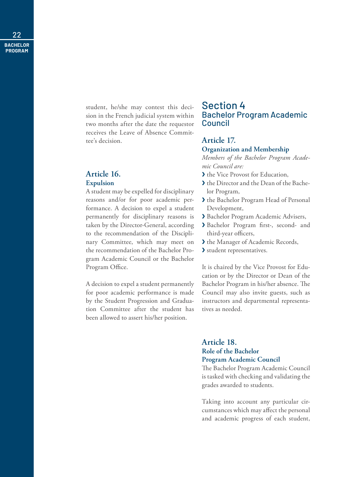> student, he/she may contest this decision in the French judicial system within two months after the date the requestor receives the Leave of Absence Committee's decision.

#### **Article 16. Expulsion**

A student may be expelled for disciplinary reasons and/or for poor academic performance. A decision to expel a student permanently for disciplinary reasons is taken by the Director-General, according to the recommendation of the Disciplinary Committee, which may meet on the recommendation of the Bachelor Program Academic Council or the Bachelor Program Office.

A decision to expel a student permanently for poor academic performance is made by the Student Progression and Graduation Committee after the student has been allowed to assert his/her position.

#### Section 4 Bachelor Program Academic Council

#### **Article 17.**

#### **Organization and Membership**

*Members of the Bachelor Program Academic Council are:*

- ❯ the Vice Provost for Education,
- ❯ the Director and the Dean of the Bachelor Program,
- ❯ the Bachelor Program Head of Personal Development,
- ❯ Bachelor Program Academic Advisers,
- ❯ Bachelor Program first-, second- and third-year officers,
- ❯ the Manager of Academic Records,
- ❯ student representatives.

It is chaired by the Vice Provost for Education or by the Director or Dean of the Bachelor Program in his/her absence. The Council may also invite guests, such as instructors and departmental representatives as needed.

#### **Article 18. Role of the Bachelor Program Academic Council**

The Bachelor Program Academic Council is tasked with checking and validating the grades awarded to students.

Taking into account any particular circumstances which may affect the personal and academic progress of each student,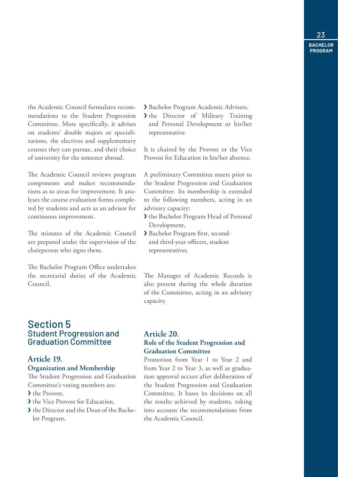the Academic Council formulates recommendations to the Student Progression Committee. More specifically, it advises on students' double majors or specializations, the electives and supplementary courses they can pursue, and their choice of university for the semester abroad.

The Academic Council reviews program components and makes recommendations as to areas for improvement. It analyses the course evaluation forms completed by students and acts as an advisor for continuous improvement.

The minutes of the Academic Council are prepared under the supervision of the chairperson who signs them.

The Bachelor Program Office undertakes the secretarial duties of the Academic Council.

#### Section 5 Student Progression and Graduation Committee

#### **Article 19.**

#### **Organization and Membership**

The Student Progression and Graduation Committee's voting members are:

- ❯ the Provost,
- > the Vice Provost for Education,
- ❯ the Director and the Dean of the Bachelor Program,

❯ Bachelor Program Academic Advisers,

> the Director of Military Training and Personal Development or his/her representative.

It is chaired by the Provost or the Vice Provost for Education in his/her absence.

A preliminary Committee meets prior to the Student Progression and Graduation Committee. Its membership is extended to the following members, acting in an advisory capacity:

- ❯ the Bachelor Program Head of Personal Development,
- ❯ Bachelor Program first, secondand third-year officers, student representatives.

The Manager of Academic Records is also present during the whole duration of the Committee, acting in an advisory capacity.

#### **Article 20. Role of the Student Progression and Graduation Committee**

Promotion from Year 1 to Year 2 and from Year 2 to Year 3, as well as graduation approval occurs after deliberation of the Student Progression and Graduation Committee. It bases its decisions on all the results achieved by students, taking into account the recommendations from the Academic Council.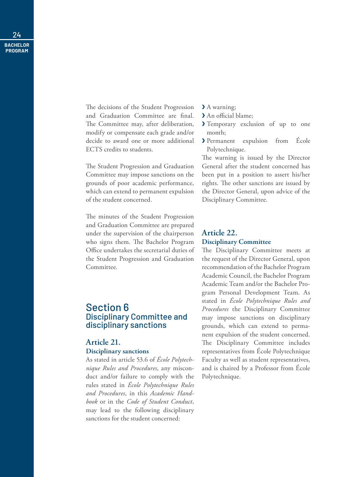> The decisions of the Student Progression and Graduation Committee are final. The Committee may, after deliberation, modify or compensate each grade and/or decide to award one or more additional ECTS credits to students.

> The Student Progression and Graduation Committee may impose sanctions on the grounds of poor academic performance, which can extend to permanent expulsion of the student concerned.

> The minutes of the Student Progression and Graduation Committee are prepared under the supervision of the chairperson who signs them. The Bachelor Program Office undertakes the secretarial duties of the Student Progression and Graduation Committee.

#### Section 6 Disciplinary Committee and disciplinary sanctions

#### **Article 21. Disciplinary sanctions**

As stated in article 53.6 of *École Polytechnique Rules and Procedures*, any misconduct and/or failure to comply with the rules stated in *École Polytechnique Rules and Procedures*, in this *Academic Handbook* or in the *Code of Student Conduct*, may lead to the following disciplinary sanctions for the student concerned:

- > A warning;
- > An official blame:
- Y Temporary exclusion of up to one month;
- ❯ Permanent expulsion from École Polytechnique.

The warning is issued by the Director General after the student concerned has been put in a position to assert his/her rights. The other sanctions are issued by the Director General, upon advice of the Disciplinary Committee.

#### **Article 22. Disciplinary Committee**

The Disciplinary Committee meets at the request of the Director General, upon recommendation of the Bachelor Program Academic Council, the Bachelor Program Academic Team and/or the Bachelor Program Personal Development Team. As stated in *École Polytechnique Rules and Procedures* the Disciplinary Committee may impose sanctions on disciplinary grounds, which can extend to permanent expulsion of the student concerned. The Disciplinary Committee includes representatives from École Polytechnique Faculty as well as student representatives, and is chaired by a Professor from École Polytechnique.